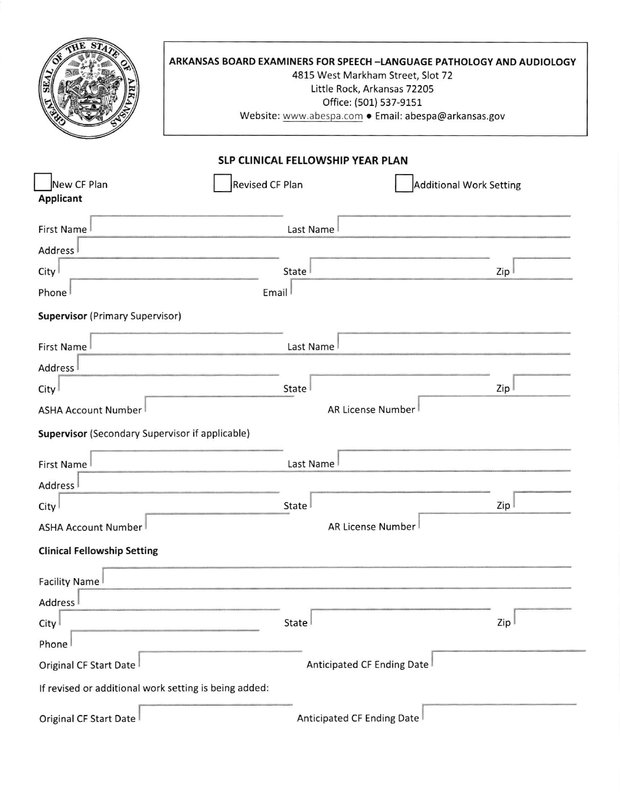|                                                       | ARKANSAS BOARD EXAMINERS FOR SPEECH-LANGUAGE PATHOLOGY AND AUDIOLOGY<br>4815 West Markham Street, Slot 72<br>Little Rock, Arkansas 72205<br>Office: (501) 537-9151<br>Website: www.abespa.com . Email: abespa@arkansas.gov |                                |  |  |
|-------------------------------------------------------|----------------------------------------------------------------------------------------------------------------------------------------------------------------------------------------------------------------------------|--------------------------------|--|--|
|                                                       | SLP CLINICAL FELLOWSHIP YEAR PLAN                                                                                                                                                                                          |                                |  |  |
| New CF Plan<br><b>Applicant</b>                       | Revised CF Plan                                                                                                                                                                                                            | <b>Additional Work Setting</b> |  |  |
| First Name                                            | Last Name                                                                                                                                                                                                                  |                                |  |  |
| Address <sup>1</sup>                                  |                                                                                                                                                                                                                            |                                |  |  |
| City                                                  | State                                                                                                                                                                                                                      | Zip                            |  |  |
| Phone                                                 | Email                                                                                                                                                                                                                      |                                |  |  |
| <b>Supervisor</b> (Primary Supervisor)                |                                                                                                                                                                                                                            |                                |  |  |
| First Name                                            | Last Name                                                                                                                                                                                                                  |                                |  |  |
| Address <sup>1</sup>                                  |                                                                                                                                                                                                                            |                                |  |  |
| City                                                  | State                                                                                                                                                                                                                      | Zip I                          |  |  |
| <b>ASHA Account Number</b>                            |                                                                                                                                                                                                                            | <b>AR License Number</b>       |  |  |
| Supervisor (Secondary Supervisor if applicable)       |                                                                                                                                                                                                                            |                                |  |  |
| <b>First Name</b>                                     | Last Name                                                                                                                                                                                                                  |                                |  |  |
| Address <sup>1</sup>                                  |                                                                                                                                                                                                                            |                                |  |  |
| City                                                  | State                                                                                                                                                                                                                      | Zip I                          |  |  |
| ASHA Account Number                                   |                                                                                                                                                                                                                            | AR License Number              |  |  |
| <b>Clinical Fellowship Setting</b>                    |                                                                                                                                                                                                                            |                                |  |  |
| Facility Name                                         |                                                                                                                                                                                                                            |                                |  |  |
| Address <sup>1</sup>                                  |                                                                                                                                                                                                                            |                                |  |  |
| City                                                  | State                                                                                                                                                                                                                      | Zip                            |  |  |
| Phone                                                 |                                                                                                                                                                                                                            |                                |  |  |
| Original CF Start Date                                |                                                                                                                                                                                                                            | Anticipated CF Ending Date     |  |  |
| If revised or additional work setting is being added: |                                                                                                                                                                                                                            |                                |  |  |
| Original CF Start Date                                |                                                                                                                                                                                                                            | Anticipated CF Ending Date     |  |  |